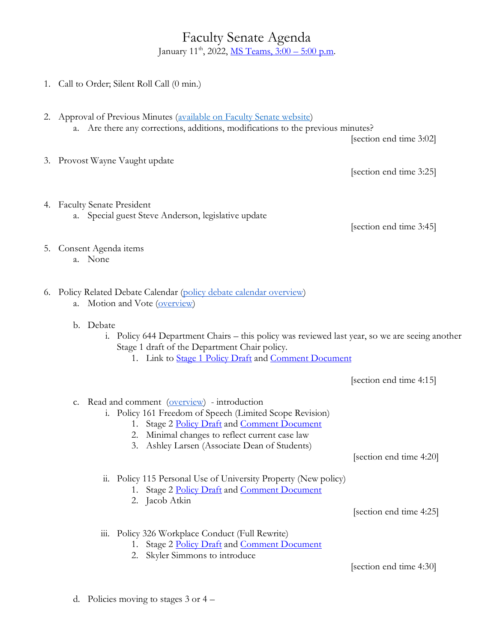## Faculty Senate Agenda January 11<sup>th</sup>, 2022, <u>MS Teams, 3:00 – 5:00 p.m</u>.

|  | 1. Call to Order; Silent Roll Call (0 min.)                                                                                                                                                                                                                     |                         |
|--|-----------------------------------------------------------------------------------------------------------------------------------------------------------------------------------------------------------------------------------------------------------------|-------------------------|
|  | 2. Approval of Previous Minutes (available on Faculty Senate website)<br>a. Are there any corrections, additions, modifications to the previous minutes?                                                                                                        | [section end time 3:02] |
|  | 3. Provost Wayne Vaught update                                                                                                                                                                                                                                  | [section end time 3:25] |
|  | 4. Faculty Senate President<br>a. Special guest Steve Anderson, legislative update                                                                                                                                                                              | [section end time 3:45] |
|  | 5. Consent Agenda items<br>a. None                                                                                                                                                                                                                              |                         |
|  | 6. Policy Related Debate Calendar (policy debate calendar overview)<br>Motion and Vote (overview)<br>a.<br>b. Debate<br>Policy 644 Department Chairs - this policy was reviewed last year, so we are seeing another<br>1.                                       |                         |
|  | Stage 1 draft of the Department Chair policy.<br>1. Link to Stage 1 Policy Draft and Comment Document                                                                                                                                                           |                         |
|  |                                                                                                                                                                                                                                                                 | [section end time 4:15] |
|  | Read and comment (overview) - introduction<br>C.<br>i. Policy 161 Freedom of Speech (Limited Scope Revision)<br>1. Stage 2 Policy Draft and Comment Document<br>2. Minimal changes to reflect current case law<br>3. Ashley Larsen (Associate Dean of Students) | [section end time 4:20] |
|  |                                                                                                                                                                                                                                                                 |                         |
|  | ii. Policy 115 Personal Use of University Property (New policy)<br>1. Stage 2 Policy Draft and Comment Document                                                                                                                                                 |                         |
|  | 2. Jacob Atkin                                                                                                                                                                                                                                                  | [section end time 4:25] |
|  | Policy 326 Workplace Conduct (Full Rewrite)<br>111.<br>Stage 2 Policy Draft and Comment Document<br>Skyler Simmons to introduce<br>2.                                                                                                                           |                         |
|  |                                                                                                                                                                                                                                                                 | [section end time 4:30] |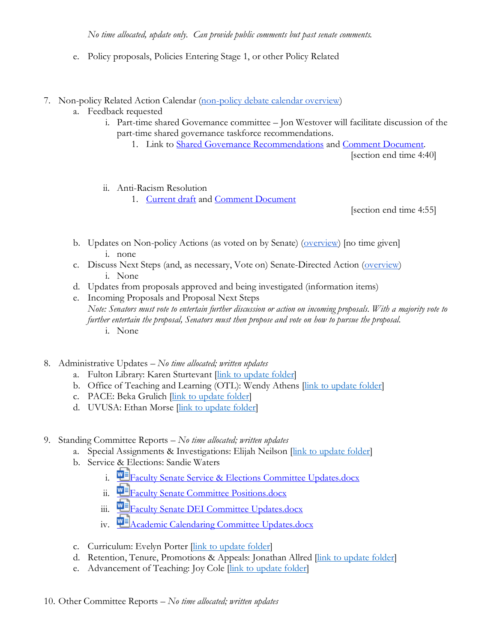- e. Policy proposals, Policies Entering Stage 1, or other Policy Related
- 7. Non-policy Related Action Calendar [\(non-policy debate calendar overview\)](https://docs.google.com/document/d/1zrPy0Fn9xcOhidd1XMgo1opj-lYb_9aTvLKg_NI1eLA/edit?usp=sharing)
	- a. Feedback requested
		- i. Part-time shared Governance committee Jon Westover will facilitate discussion of the part-time shared governance taskforce recommendations.
			- 1. Link to [Shared Governance Recommendations](https://tinyurl.com/3pw9v22z) and [Comment Document.](https://docs.google.com/document/d/1gn_wJ7DB--cJM2dLBTWF71NNVfZPuB_6O2IiTcImIPM/edit?usp=sharing)

[section end time 4:40]

- ii. Anti-Racism Resolution
	- 1. [Current draft](https://uvu365.sharepoint.com/:w:/s/Anti-Racismresolution/ESH4b1Afw7FKmQL1yTgr3fIBzEwqlKIN2lycsP8Zbq48Mw?e=gOtBjv) and [Comment Document](https://docs.google.com/document/d/1LwquwR3Lx0Svn_9OQnUhXjfRRmZGm6pHgnOf5l5AF6A/edit?usp=sharing)

[section end time 4:55]

- b. Updates on Non-policy Actions (as voted on by Senate) [\(overview\)](https://docs.google.com/document/d/1zrPy0Fn9xcOhidd1XMgo1opj-lYb_9aTvLKg_NI1eLA/edit#bookmark=id.20s1i57f673d) [no time given] i. none
- c. Discuss Next Steps (and, as necessary, Vote on) Senate-Directed Action [\(overview\)](https://docs.google.com/document/d/1zrPy0Fn9xcOhidd1XMgo1opj-lYb_9aTvLKg_NI1eLA/edit#bookmark=id.1turi862unvt) i. None
- d. Updates from proposals approved and being investigated (information items)
- e. Incoming Proposals and Proposal Next Steps *Note: Senators must vote to entertain further discussion or action on incoming proposals. With a majority vote to further entertain the proposal, Senators must then propose and vote on how to pursue the proposal.* i. None
- 8. Administrative Updates *– No time allocated; written updates*
	- a. Fulton Library: Karen Sturtevant *[\[link to update folder\]](https://drive.google.com/drive/folders/1CJZnOvFahmJJZJojR2XBd0U8PclC3aHK?usp=sharing)*
	- b. Office of Teaching and Learning (OTL): Wendy Athens [\[link to update folder\]](https://drive.google.com/drive/folders/1o5Tj_1mbe6qVJWyGFA9FNQMAx0zgjyM9?usp=sharing)
	- c. PACE: Beka Grulich [\[link to update folder\]](https://drive.google.com/drive/folders/1Ine7rBIg27FdgKErlcWF5p9Nx0tJNwok?usp=sharing)
	- d. UVUSA: Ethan Morse [\[link to update folder\]](https://drive.google.com/drive/folders/1GXZgi4LTLaWWG5uZ1_7PXCZi9GB43BZm?usp=sharing)
- 9. Standing Committee Reports *– No time allocated; written updates*
	- a. Special Assignments & Investigations: Elijah Neilson [\[link to update folder\]](https://drive.google.com/drive/folders/1e9MbUhAQO28YnSWhseDbZv13PkR6mIFT?usp=sharing)
	- b. Service & Elections: Sandie Waters
		- i. **E**[Faculty Senate Service & Elections Committee Updates.docx](https://uvu365.sharepoint.com/:w:/s/ServiceElectionsChairs/EXxOn1zvCHVEgniRfP0Oi9cBT2zC99MFxAB3x2KHzQZ94g?e=mKuPuw&isSPOFile=1)
		- ii.  $\mathbf{E}$  [Faculty Senate Committee Positions.docx](https://uvu365.sharepoint.com/:w:/s/ServiceElectionsChairs/EbT5tySbhVJFm1LJ8jmH4_kBdIHgMC78fR-c32IeB5iPXg)
		- iii. **Fi** [Faculty Senate DEI Committee Updates.docx](https://uvu365.sharepoint.com/:w:/s/DiversityEquityandInclusionFacultySenateCommittee/EeQ5Hj8UciBNo6Q-tsrfL10BzAIfBd0pxMehiIsvKGt4qw)
		- iv.  $\mathbf{u}$  [Academic Calendaring Committee Updates.docx](https://uvu365.sharepoint.com/:w:/s/AcademicCalendaringCommittee/EWUePzXIiXFDo-0BOAxf2UsBVHFmEYbYSrBnzfhU9agBoQ)
	- c. Curriculum: Evelyn Porter [\[link to update folder\]](https://drive.google.com/drive/folders/1nmajpZEE1SMDuDUxH2TU1c5ZOMePqpNq?usp=sharing)
	- d. Retention, Tenure, Promotions & Appeals: Jonathan Allred *[\[link to update folder\]](https://drive.google.com/drive/folders/1KmSYHGOTqmgMdsLWbR6Wbh4wp6LGxzaW?usp=sharing)*
	- e. Advancement of Teaching: Joy Cole *[\[link to update folder\]](https://drive.google.com/drive/folders/1SLA6DXPFtJWfKXXMauqLOIJoudZjtJ0O?usp=sharing)*